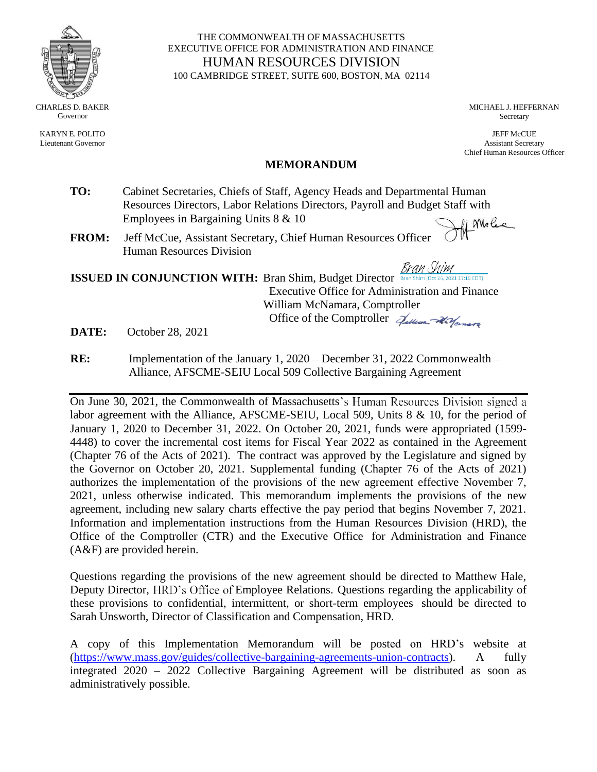

KARYN E. POLITO Lieutenant Governor

THE COMMONWEALTH OF MASSACHUSETTS EXECUTIVE OFFICE FOR ADMINISTRATION AND FINANCE HUMAN RESOURCES DIVISION 100 CAMBRIDGE STREET, SUITE 600, BOSTON, MA 02114

> MICHAEL J. HEFFERNAN Secretary

JEFF McCUE Assistant Secretary Chief Human Resources Officer

## **MEMORANDUM**

- **TO:** Cabinet Secretaries, Chiefs of Staff, Agency Heads and Departmental Human Resources Directors, Labor Relations Directors, Payroll and Budget Staff with Employees in Bargaining Units 8 & 10 of Molee
- **FROM:** Jeff McCue, Assistant Secretary, Chief Human Resources Officer Human Resources Division

Bran Shim **ISSUED IN CONJUNCTION WITH:** Bran Shim, Budget Director Executive Office for Administration and Finance William McNamara, Comptroller Office of the Comptroller Julian Wallamare

**DATE:** October 28, 2021

**RE:** Implementation of the January 1, 2020 – December 31, 2022 Commonwealth – Alliance, AFSCME-SEIU Local 509 Collective Bargaining Agreement

On June 30, 2021, the Commonwealth of Massachusetts's Human Resources Division signed a labor agreement with the Alliance, AFSCME-SEIU, Local 509, Units 8 & 10, for the period of January 1, 2020 to December 31, 2022. On October 20, 2021, funds were appropriated (1599- 4448) to cover the incremental cost items for Fiscal Year 2022 as contained in the Agreement (Chapter 76 of the Acts of 2021). The contract was approved by the Legislature and signed by the Governor on October 20, 2021. Supplemental funding (Chapter 76 of the Acts of 2021) authorizes the implementation of the provisions of the new agreement effective November 7, 2021, unless otherwise indicated. This memorandum implements the provisions of the new agreement, including new salary charts effective the pay period that begins November 7, 2021. Information and implementation instructions from the Human Resources Division (HRD), the Office of the Comptroller (CTR) and the Executive Office for Administration and Finance (A&F) are provided herein.

Questions regarding the provisions of the new agreement should be directed to Matthew Hale, Deputy Director, HRD's Office of Employee Relations. Questions regarding the applicability of these provisions to confidential, intermittent, or short-term employees should be directed to Sarah Unsworth, Director of Classification and Compensation, HRD.

A copy of this Implementation Memorandum will be posted on HRD's website at [\(https://www.mass.gov/guides/collective-bargaining-agreements-union-contracts\)](https://www.mass.gov/guides/collective-bargaining-agreements-union-contracts). A fully integrated 2020 – 2022 Collective Bargaining Agreement will be distributed as soon as administratively possible.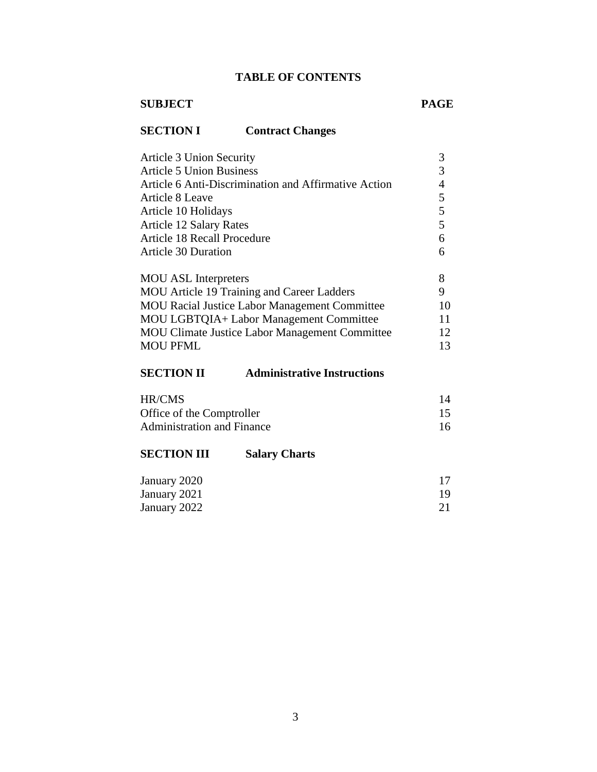# **TABLE OF CONTENTS**

# **SUBJECT PAGE**

# **SECTION I Contract Changes**

| Article 3 Union Security                              | 3  |
|-------------------------------------------------------|----|
| <b>Article 5 Union Business</b>                       |    |
| Article 6 Anti-Discrimination and Affirmative Action  | 4  |
| Article 8 Leave                                       | 5  |
| Article 10 Holidays                                   | 5  |
| <b>Article 12 Salary Rates</b>                        | 5  |
| Article 18 Recall Procedure                           | 6  |
| <b>Article 30 Duration</b>                            |    |
| <b>MOU ASL Interpreters</b>                           | 8  |
| MOU Article 19 Training and Career Ladders            | 9  |
| <b>MOU Racial Justice Labor Management Committee</b>  | 10 |
| MOU LGBTQIA+ Labor Management Committee               | 11 |
| <b>MOU Climate Justice Labor Management Committee</b> | 12 |
| <b>MOU PFML</b>                                       | 13 |

# **SECTION II [Administrative](#page-13-0) Instructions**

| HR/CMS                            | 14 |
|-----------------------------------|----|
| Office of the Comptroller         |    |
| <b>Administration and Finance</b> | 16 |

# **[SECTION](#page-16-0) III Salary Charts**

| January 2020 |    |
|--------------|----|
| January 2021 | 19 |
| January 2022 |    |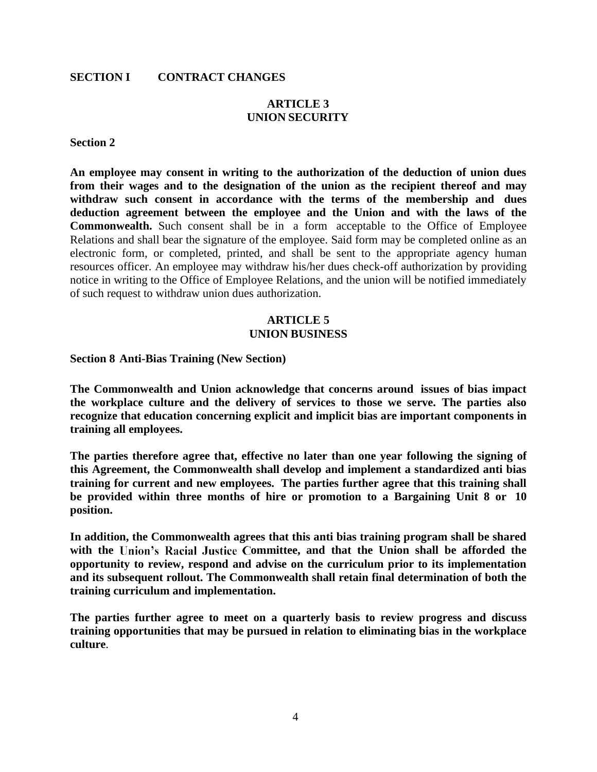#### **SECTION I CONTRACT CHANGES**

## <span id="page-2-0"></span>**ARTICLE 3 UNION SECURITY**

#### **Section 2**

**An employee may consent in writing to the authorization of the deduction of union dues from their wages and to the designation of the union as the recipient thereof and may withdraw such consent in accordance with the terms of the membership and dues deduction agreement between the employee and the Union and with the laws of the Commonwealth.** Such consent shall be in a form acceptable to the Office of Employee Relations and shall bear the signature of the employee. Said form may be completed online as an electronic form, or completed, printed, and shall be sent to the appropriate agency human resources officer. An employee may withdraw his/her dues check-off authorization by providing notice in writing to the Office of Employee Relations, and the union will be notified immediately of such request to withdraw union dues authorization.

## **ARTICLE 5 UNION BUSINESS**

<span id="page-2-1"></span>**Section 8 Anti-Bias Training (New Section)**

**The Commonwealth and Union acknowledge that concerns around issues of bias impact the workplace culture and the delivery of services to those we serve. The parties also recognize that education concerning explicit and implicit bias are important components in training all employees.**

**The parties therefore agree that, effective no later than one year following the signing of this Agreement, the Commonwealth shall develop and implement a standardized anti bias training for current and new employees. The parties further agree that this training shall be provided within three months of hire or promotion to a Bargaining Unit 8 or 10 position.**

**In addition, the Commonwealth agrees that this anti bias training program shall be shared with the ommittee, and that the Union shall be afforded the opportunity to review, respond and advise on the curriculum prior to its implementation and its subsequent rollout. The Commonwealth shall retain final determination of both the training curriculum and implementation.**

**The parties further agree to meet on a quarterly basis to review progress and discuss training opportunities that may be pursued in relation to eliminating bias in the workplace culture**.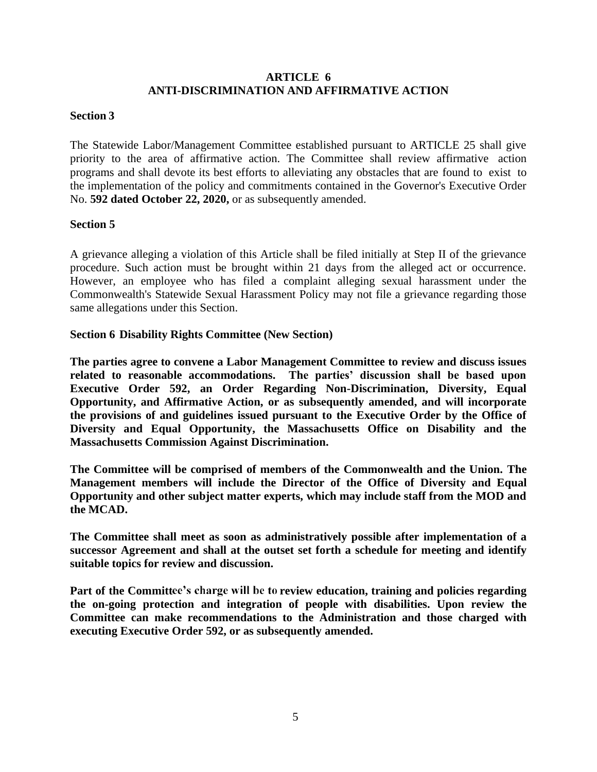# **ARTICLE 6 ANTI-DISCRIMINATION AND AFFIRMATIVE ACTION**

## **Section 3**

The Statewide Labor/Management Committee established pursuant to ARTICLE 25 shall give priority to the area of affirmative action. The Committee shall review affirmative action programs and shall devote its best efforts to alleviating any obstacles that are found to exist to the implementation of the policy and commitments contained in the Governor's Executive Order No. **592 dated October 22, 2020,** or as subsequently amended.

## **Section 5**

A grievance alleging a violation of this Article shall be filed initially at Step II of the grievance procedure. Such action must be brought within 21 days from the alleged act or occurrence. However, an employee who has filed a complaint alleging sexual harassment under the Commonwealth's Statewide Sexual Harassment Policy may not file a grievance regarding those same allegations under this Section.

# **Section 6 Disability Rights Committee (New Section)**

**The parties agree to convene a Labor Management Committee to review and discuss issues related to reasonable accommodations. The parties' discussion shall be based upon Executive Order 592, an Order Regarding Non-Discrimination, Diversity, Equal Opportunity, and Affirmative Action, or as subsequently amended, and will incorporate the provisions of and guidelines issued pursuant to the Executive Order by the Office of Diversity and Equal Opportunity, the Massachusetts Office on Disability and the Massachusetts Commission Against Discrimination.** 

**The Committee will be comprised of members of the Commonwealth and the Union. The Management members will include the Director of the Office of Diversity and Equal Opportunity and other subject matter experts, which may include staff from the MOD and the MCAD.**

**The Committee shall meet as soon as administratively possible after implementation of a successor Agreement and shall at the outset set forth a schedule for meeting and identify suitable topics for review and discussion.**

Part of the Committee's charge will be to review education, training and policies regarding **the on-going protection and integration of people with disabilities. Upon review the Committee can make recommendations to the Administration and those charged with executing Executive Order 592, or as subsequently amended.**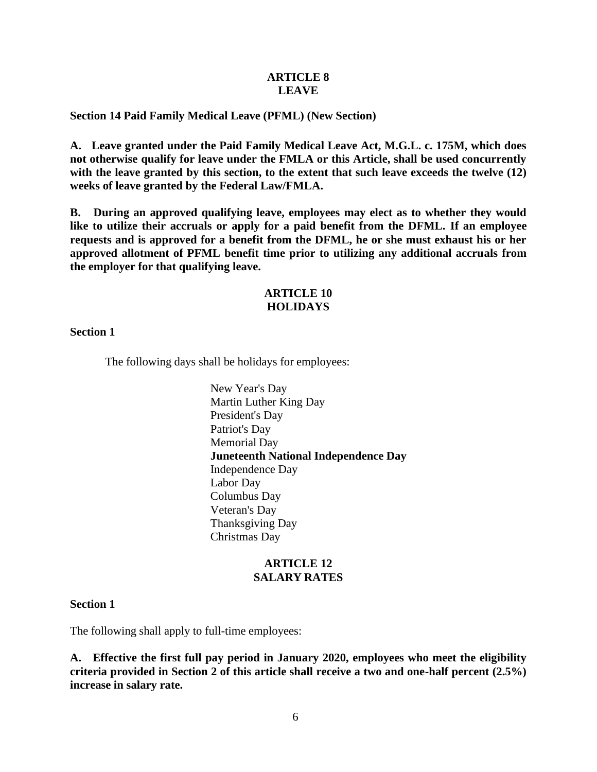#### **ARTICLE 8 LEAVE**

### <span id="page-4-0"></span>**Section 14 Paid Family Medical Leave (PFML) (New Section)**

**A. Leave granted under the Paid Family Medical Leave Act, M.G.L. c. 175M, which does not otherwise qualify for leave under the FMLA or this Article, shall be used concurrently with the leave granted by this section, to the extent that such leave exceeds the twelve (12) weeks of leave granted by the Federal Law/FMLA.**

**B. During an approved qualifying leave, employees may elect as to whether they would like to utilize their accruals or apply for a paid benefit from the DFML. If an employee requests and is approved for a benefit from the DFML, he or she must exhaust his or her approved allotment of PFML benefit time prior to utilizing any additional accruals from the employer for that qualifying leave.**

#### **ARTICLE 10 HOLIDAYS**

#### <span id="page-4-1"></span>**Section 1**

The following days shall be holidays for employees:

New Year's Day Martin Luther King Day President's Day Patriot's Day Memorial Day **Juneteenth National Independence Day** Independence Day Labor Day Columbus Day Veteran's Day Thanksgiving Day Christmas Day

#### **ARTICLE 12 SALARY RATES**

#### <span id="page-4-2"></span>**Section 1**

The following shall apply to full-time employees:

**A. Effective the first full pay period in January 2020, employees who meet the eligibility criteria provided in Section 2 of this article shall receive a two and one-half percent (2.5%) increase in salary rate.**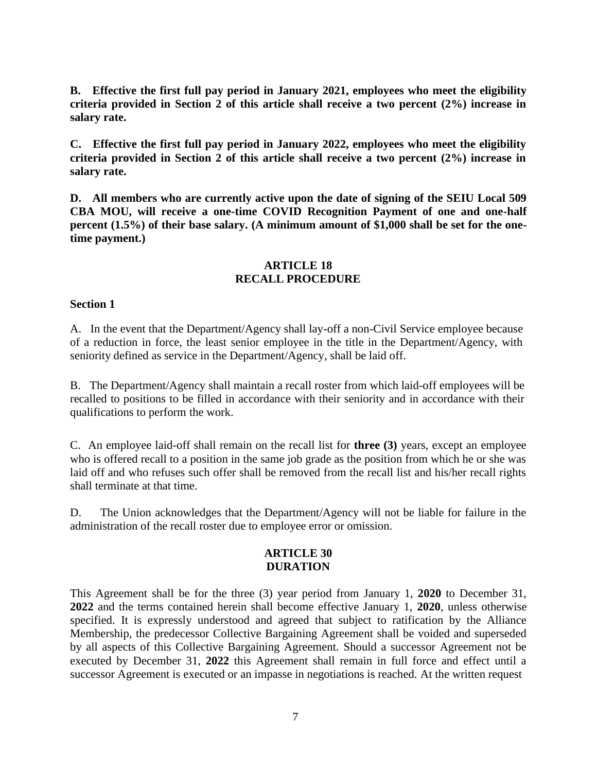**B. Effective the first full pay period in January 2021, employees who meet the eligibility criteria provided in Section 2 of this article shall receive a two percent (2%) increase in salary rate.**

**C. Effective the first full pay period in January 2022, employees who meet the eligibility criteria provided in Section 2 of this article shall receive a two percent (2%) increase in salary rate.**

**D. All members who are currently active upon the date of signing of the SEIU Local 509 CBA MOU, will receive a one-time COVID Recognition Payment of one and one-half percent (1.5%) of their base salary. (A minimum amount of \$1,000 shall be set for the onetime payment.)**

## **ARTICLE 18 RECALL PROCEDURE**

#### <span id="page-5-0"></span>**Section 1**

A. In the event that the Department/Agency shall lay-off a non-Civil Service employee because of a reduction in force, the least senior employee in the title in the Department/Agency, with seniority defined as service in the Department/Agency, shall be laid off.

B. The Department/Agency shall maintain a recall roster from which laid-off employees will be recalled to positions to be filled in accordance with their seniority and in accordance with their qualifications to perform the work.

C. An employee laid-off shall remain on the recall list for **three (3)** years, except an employee who is offered recall to a position in the same job grade as the position from which he or she was laid off and who refuses such offer shall be removed from the recall list and his/her recall rights shall terminate at that time.

<span id="page-5-1"></span>D. The Union acknowledges that the Department/Agency will not be liable for failure in the administration of the recall roster due to employee error or omission.

# **ARTICLE 30 DURATION**

This Agreement shall be for the three (3) year period from January 1, **2020** to December 31, **2022** and the terms contained herein shall become effective January 1, **2020**, unless otherwise specified. It is expressly understood and agreed that subject to ratification by the Alliance Membership, the predecessor Collective Bargaining Agreement shall be voided and superseded by all aspects of this Collective Bargaining Agreement. Should a successor Agreement not be executed by December 31, **2022** this Agreement shall remain in full force and effect until a successor Agreement is executed or an impasse in negotiations is reached. At the written request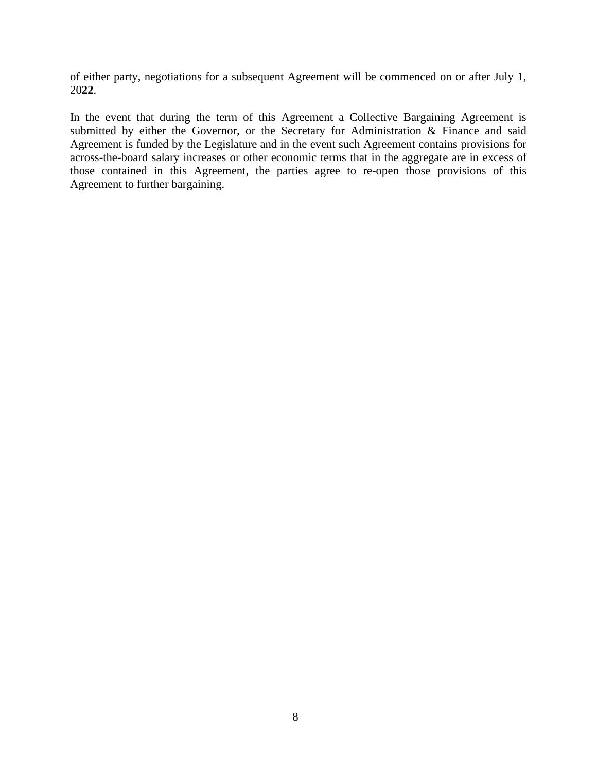of either party, negotiations for a subsequent Agreement will be commenced on or after July 1, 20**22**.

In the event that during the term of this Agreement a Collective Bargaining Agreement is submitted by either the Governor, or the Secretary for Administration & Finance and said Agreement is funded by the Legislature and in the event such Agreement contains provisions for across-the-board salary increases or other economic terms that in the aggregate are in excess of those contained in this Agreement, the parties agree to re-open those provisions of this Agreement to further bargaining.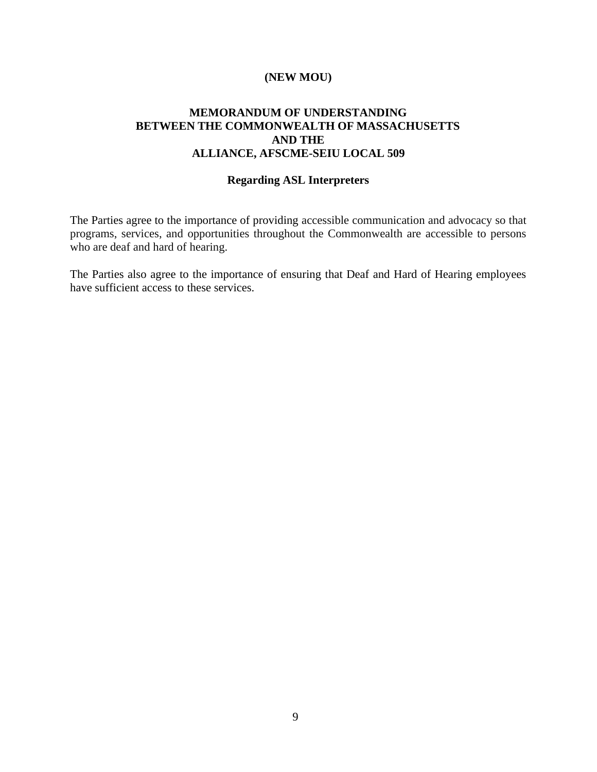# **MEMORANDUM OF UNDERSTANDING BETWEEN THE COMMONWEALTH OF MASSACHUSETTS AND THE ALLIANCE, AFSCME-SEIU LOCAL 509**

# **Regarding ASL Interpreters**

The Parties agree to the importance of providing accessible communication and advocacy so that programs, services, and opportunities throughout the Commonwealth are accessible to persons who are deaf and hard of hearing.

The Parties also agree to the importance of ensuring that Deaf and Hard of Hearing employees have sufficient access to these services.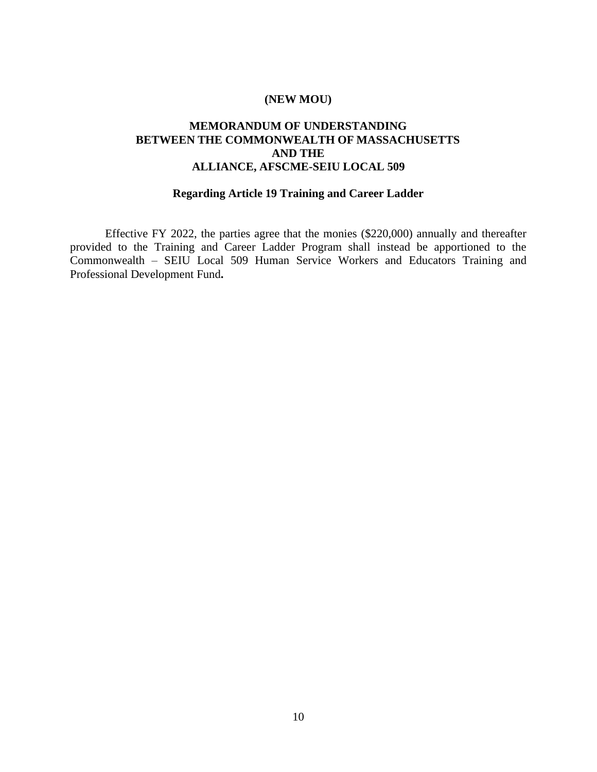# **MEMORANDUM OF UNDERSTANDING BETWEEN THE COMMONWEALTH OF MASSACHUSETTS AND THE ALLIANCE, AFSCME-SEIU LOCAL 509**

### **Regarding Article 19 Training and Career Ladder**

Effective FY 2022, the parties agree that the monies (\$220,000) annually and thereafter provided to the Training and Career Ladder Program shall instead be apportioned to the Commonwealth – SEIU Local 509 Human Service Workers and Educators Training and Professional Development Fund**.**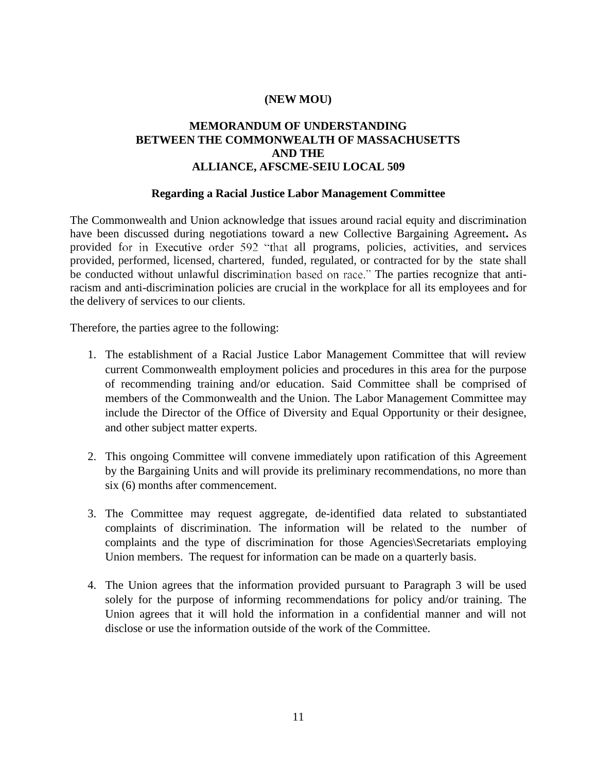# **MEMORANDUM OF UNDERSTANDING BETWEEN THE COMMONWEALTH OF MASSACHUSETTS AND THE ALLIANCE, AFSCME-SEIU LOCAL 509**

#### **Regarding a Racial Justice Labor Management Committee**

The Commonwealth and Union acknowledge that issues around racial equity and discrimination have been discussed during negotiations toward a new Collective Bargaining Agreement**.** As provided for in Executive order 592 "that all programs, policies, activities, and services provided, performed, licensed, chartered, funded, regulated, or contracted for by the state shall be conducted without unlawful discrimination based on race." The parties recognize that antiracism and anti-discrimination policies are crucial in the workplace for all its employees and for the delivery of services to our clients.

Therefore, the parties agree to the following:

- 1. The establishment of a Racial Justice Labor Management Committee that will review current Commonwealth employment policies and procedures in this area for the purpose of recommending training and/or education. Said Committee shall be comprised of members of the Commonwealth and the Union. The Labor Management Committee may include the Director of the Office of Diversity and Equal Opportunity or their designee, and other subject matter experts.
- 2. This ongoing Committee will convene immediately upon ratification of this Agreement by the Bargaining Units and will provide its preliminary recommendations, no more than six (6) months after commencement.
- 3. The Committee may request aggregate, de-identified data related to substantiated complaints of discrimination. The information will be related to the number of complaints and the type of discrimination for those Agencies\Secretariats employing Union members. The request for information can be made on a quarterly basis.
- 4. The Union agrees that the information provided pursuant to Paragraph 3 will be used solely for the purpose of informing recommendations for policy and/or training. The Union agrees that it will hold the information in a confidential manner and will not disclose or use the information outside of the work of the Committee.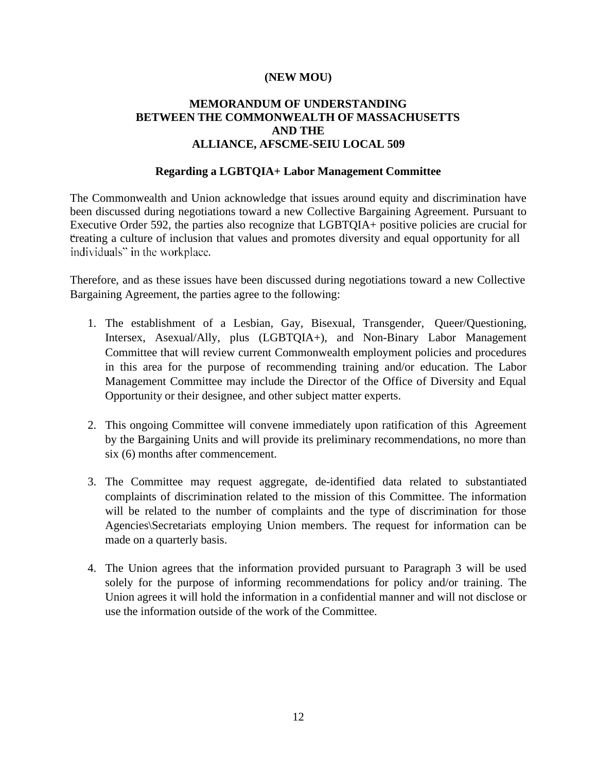# **MEMORANDUM OF UNDERSTANDING BETWEEN THE COMMONWEALTH OF MASSACHUSETTS AND THE ALLIANCE, AFSCME-SEIU LOCAL 509**

### **Regarding a LGBTQIA+ Labor Management Committee**

The Commonwealth and Union acknowledge that issues around equity and discrimination have been discussed during negotiations toward a new Collective Bargaining Agreement. Pursuant to Executive Order 592, the parties also recognize that LGBTQIA+ positive policies are crucial for creating a culture of inclusion that values and promotes diversity and equal opportunity for all individuals" in the workplace.

Therefore, and as these issues have been discussed during negotiations toward a new Collective Bargaining Agreement, the parties agree to the following:

- 1. The establishment of a Lesbian, Gay, Bisexual, Transgender, Queer/Questioning, Intersex, Asexual/Ally, plus (LGBTQIA+), and Non-Binary Labor Management Committee that will review current Commonwealth employment policies and procedures in this area for the purpose of recommending training and/or education. The Labor Management Committee may include the Director of the Office of Diversity and Equal Opportunity or their designee, and other subject matter experts.
- 2. This ongoing Committee will convene immediately upon ratification of this Agreement by the Bargaining Units and will provide its preliminary recommendations, no more than six (6) months after commencement.
- 3. The Committee may request aggregate, de-identified data related to substantiated complaints of discrimination related to the mission of this Committee. The information will be related to the number of complaints and the type of discrimination for those Agencies\Secretariats employing Union members. The request for information can be made on a quarterly basis.
- 4. The Union agrees that the information provided pursuant to Paragraph 3 will be used solely for the purpose of informing recommendations for policy and/or training. The Union agrees it will hold the information in a confidential manner and will not disclose or use the information outside of the work of the Committee.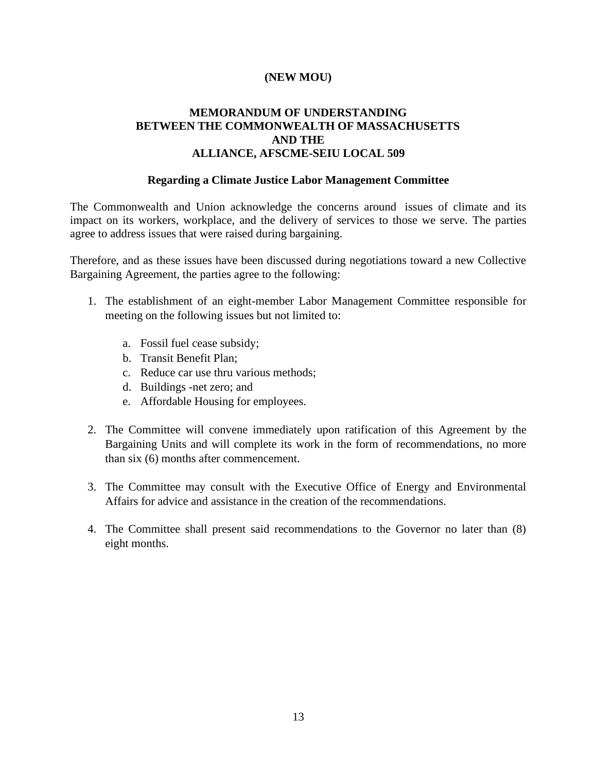# **MEMORANDUM OF UNDERSTANDING BETWEEN THE COMMONWEALTH OF MASSACHUSETTS AND THE ALLIANCE, AFSCME-SEIU LOCAL 509**

#### **Regarding a Climate Justice Labor Management Committee**

The Commonwealth and Union acknowledge the concerns around issues of climate and its impact on its workers, workplace, and the delivery of services to those we serve. The parties agree to address issues that were raised during bargaining.

Therefore, and as these issues have been discussed during negotiations toward a new Collective Bargaining Agreement, the parties agree to the following:

- 1. The establishment of an eight-member Labor Management Committee responsible for meeting on the following issues but not limited to:
	- a. Fossil fuel cease subsidy;
	- b. Transit Benefit Plan;
	- c. Reduce car use thru various methods;
	- d. Buildings -net zero; and
	- e. Affordable Housing for employees.
- 2. The Committee will convene immediately upon ratification of this Agreement by the Bargaining Units and will complete its work in the form of recommendations, no more than six (6) months after commencement.
- 3. The Committee may consult with the Executive Office of Energy and Environmental Affairs for advice and assistance in the creation of the recommendations.
- 4. The Committee shall present said recommendations to the Governor no later than (8) eight months.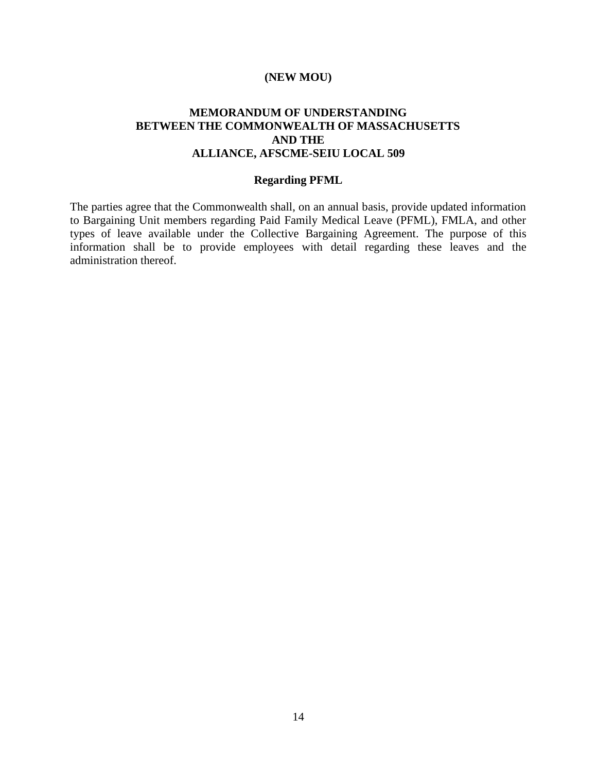# **MEMORANDUM OF UNDERSTANDING BETWEEN THE COMMONWEALTH OF MASSACHUSETTS AND THE ALLIANCE, AFSCME-SEIU LOCAL 509**

#### **Regarding PFML**

The parties agree that the Commonwealth shall, on an annual basis, provide updated information to Bargaining Unit members regarding Paid Family Medical Leave (PFML), FMLA, and other types of leave available under the Collective Bargaining Agreement. The purpose of this information shall be to provide employees with detail regarding these leaves and the administration thereof.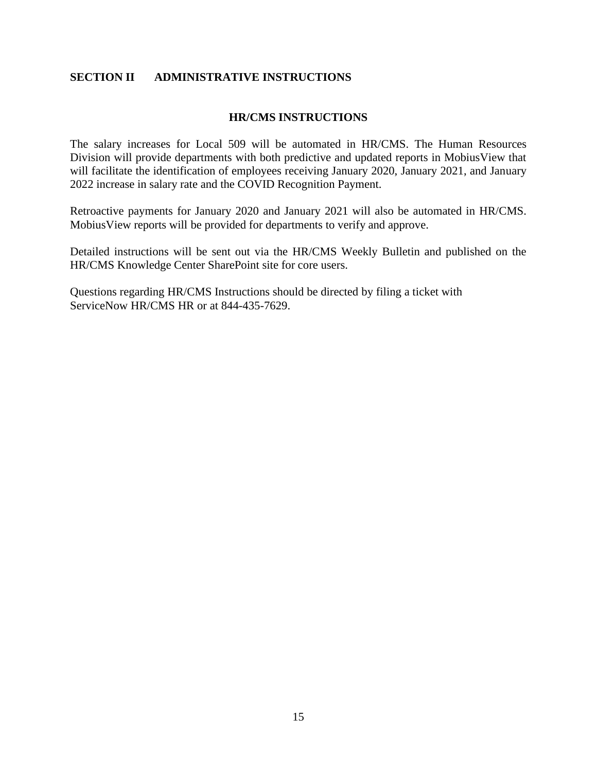# <span id="page-13-0"></span>**SECTION II ADMINISTRATIVE INSTRUCTIONS**

#### **HR/CMS INSTRUCTIONS**

The salary increases for Local 509 will be automated in HR/CMS. The Human Resources Division will provide departments with both predictive and updated reports in MobiusView that will facilitate the identification of employees receiving January 2020, January 2021, and January 2022 increase in salary rate and the COVID Recognition Payment.

Retroactive payments for January 2020 and January 2021 will also be automated in HR/CMS. MobiusView reports will be provided for departments to verify and approve.

Detailed instructions will be sent out via the HR/CMS Weekly Bulletin and published on the HR/CMS Knowledge Center SharePoint site for core users.

Questions regarding HR/CMS Instructions should be directed by filing a ticket with ServiceNow HR/CMS HR or at 844-435-7629.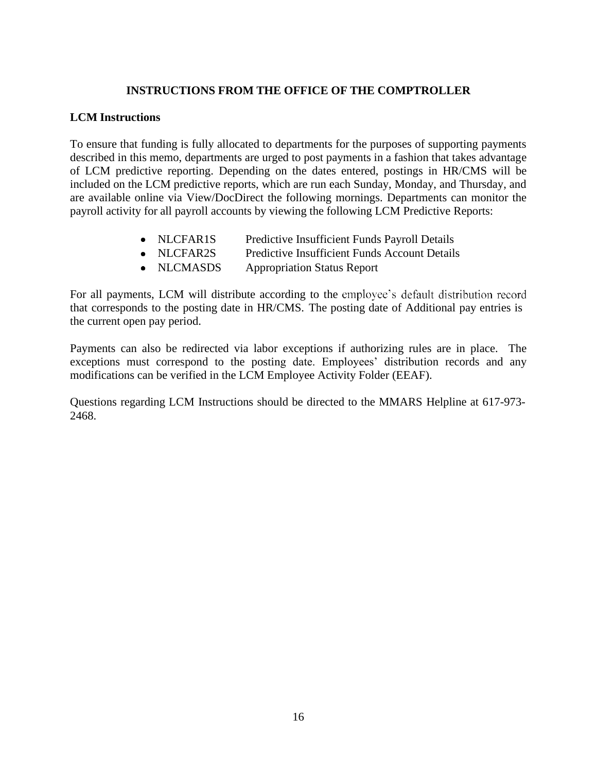# **INSTRUCTIONS FROM THE OFFICE OF THE COMPTROLLER**

## **LCM Instructions**

To ensure that funding is fully allocated to departments for the purposes of supporting payments described in this memo, departments are urged to post payments in a fashion that takes advantage of LCM predictive reporting. Depending on the dates entered, postings in HR/CMS will be included on the LCM predictive reports, which are run each Sunday, Monday, and Thursday, and are available online via View/DocDirect the following mornings. Departments can monitor the payroll activity for all payroll accounts by viewing the following LCM Predictive Reports:

- NLCFAR1S Predictive Insufficient Funds Payroll Details
- NLCFAR2S Predictive Insufficient Funds Account Details
- NLCMASDS Appropriation Status Report

For all payments, LCM will distribute according to the employee's default distribution record that corresponds to the posting date in HR/CMS. The posting date of Additional pay entries is the current open pay period.

Payments can also be redirected via labor exceptions if authorizing rules are in place. The exceptions must correspond to the posting date. Employees' distribution records and any modifications can be verified in the LCM Employee Activity Folder (EEAF).

Questions regarding LCM Instructions should be directed to the MMARS Helpline at 617-973- 2468.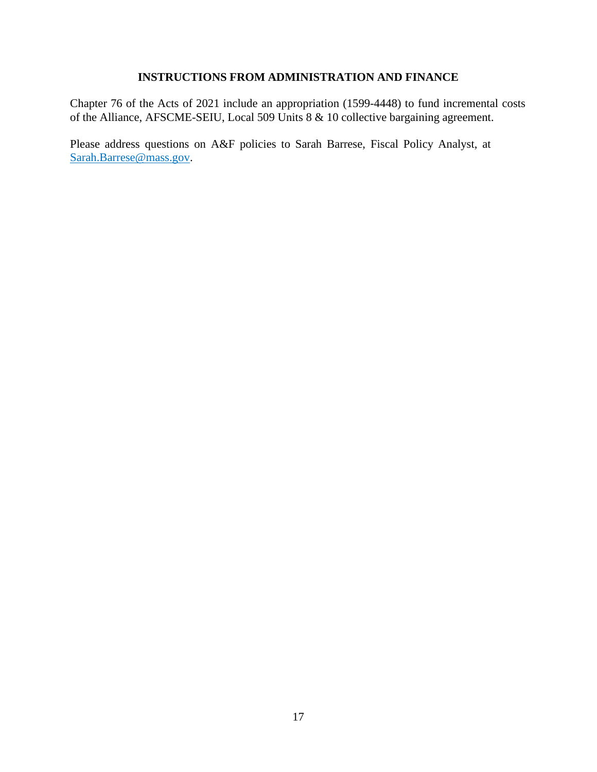# **INSTRUCTIONS FROM ADMINISTRATION AND FINANCE**

Chapter 76 of the Acts of 2021 include an appropriation (1599-4448) to fund incremental costs of the Alliance, AFSCME-SEIU, Local 509 Units 8 & 10 collective bargaining agreement.

Please address questions on A&F policies to Sarah Barrese, Fiscal Policy Analyst, at [Sarah.Barrese@mass.gov.](mailto:Sarah.Barrese@mass.gov)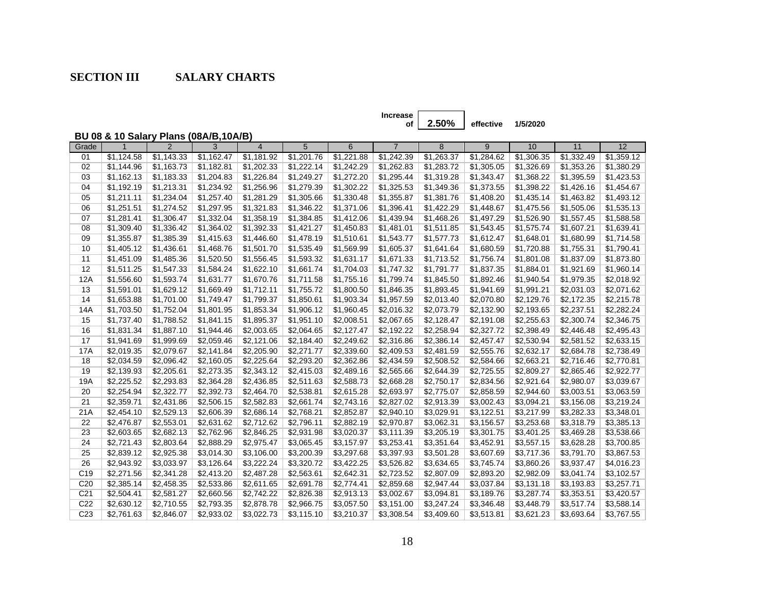| Increase |                            |          |
|----------|----------------------------|----------|
|          | of $\vert$ 2.50% effective | 1/5/2020 |

**BU 08 & 10 Salary Plans (08A/B,10A/B)**

<span id="page-16-0"></span>

| Grade           | $\mathbf{1}$ | 2          | 3          | $\overline{4}$ | 5          | 6          | $\overline{7}$ | 8          | 9          | 10         | 11         | 12         |
|-----------------|--------------|------------|------------|----------------|------------|------------|----------------|------------|------------|------------|------------|------------|
| 01              | \$1,124.58   | \$1,143.33 | \$1.162.47 | \$1,181.92     | \$1,201.76 | \$1,221.88 | \$1,242.39     | \$1,263.37 | \$1,284.62 | \$1,306.35 | \$1,332.49 | \$1,359.12 |
| 02              | \$1,144.96   | \$1,163.73 | \$1,182.81 | \$1,202.33     | \$1,222.14 | \$1,242.29 | \$1,262.83     | \$1,283.72 | \$1,305.05 | \$1,326.69 | \$1,353.26 | \$1,380.29 |
| 03              | \$1.162.13   | \$1.183.33 | \$1,204.83 | \$1,226.84     | \$1.249.27 | \$1,272.20 | \$1,295.44     | \$1.319.28 | \$1,343.47 | \$1,368.22 | \$1,395.59 | \$1,423.53 |
| 04              | \$1,192.19   | \$1,213.31 | \$1,234.92 | \$1,256.96     | \$1,279.39 | \$1,302.22 | \$1,325.53     | \$1,349.36 | \$1,373.55 | \$1,398.22 | \$1,426.16 | \$1,454.67 |
| 05              | \$1,211.11   | \$1,234.04 | \$1,257.40 | \$1,281.29     | \$1,305.66 | \$1,330.48 | \$1,355.87     | \$1,381.76 | \$1,408.20 | \$1,435.14 | \$1,463.82 | \$1,493.12 |
| 06              | \$1,251.51   | \$1,274.52 | \$1,297.95 | \$1,321.83     | \$1,346.22 | \$1,371.06 | \$1,396.41     | \$1,422.29 | \$1,448.67 | \$1,475.56 | \$1,505.06 | \$1,535.13 |
| 07              | \$1,281.41   | \$1,306.47 | \$1,332.04 | \$1,358.19     | \$1,384.85 | \$1,412.06 | \$1,439.94     | \$1,468.26 | \$1,497.29 | \$1,526.90 | \$1,557.45 | \$1,588.58 |
| 08              | \$1,309.40   | \$1,336.42 | \$1,364.02 | \$1,392.33     | \$1,421.27 | \$1,450.83 | \$1,481.01     | \$1,511.85 | \$1,543.45 | \$1,575.74 | \$1,607.21 | \$1,639.41 |
| 09              | \$1,355.87   | \$1,385.39 | \$1,415.63 | \$1,446.60     | \$1,478.19 | \$1,510.61 | \$1,543.77     | \$1,577.73 | \$1,612.47 | \$1,648.01 | \$1,680.99 | \$1,714.58 |
| 10              | \$1,405.12   | \$1,436.61 | \$1,468.76 | \$1,501.70     | \$1,535.49 | \$1,569.99 | \$1,605.37     | \$1,641.64 | \$1,680.59 | \$1,720.88 | \$1,755.31 | \$1,790.41 |
| 11              | \$1,451.09   | \$1,485.36 | \$1,520.50 | \$1,556.45     | \$1,593.32 | \$1,631.17 | \$1,671.33     | \$1,713.52 | \$1,756.74 | \$1,801.08 | \$1,837.09 | \$1,873.80 |
| 12              | \$1,511.25   | \$1,547.33 | \$1,584.24 | \$1,622.10     | \$1,661.74 | \$1,704.03 | \$1,747.32     | \$1,791.77 | \$1,837.35 | \$1,884.01 | \$1,921.69 | \$1,960.14 |
| 12A             | \$1,556.60   | \$1,593.74 | \$1,631.77 | \$1,670.76     | \$1,711.58 | \$1,755.16 | \$1,799.74     | \$1,845.50 | \$1,892.46 | \$1,940.54 | \$1,979.35 | \$2,018.92 |
| 13              | \$1,591.01   | \$1,629.12 | \$1,669.49 | \$1,712.11     | \$1,755.72 | \$1,800.50 | \$1,846.35     | \$1,893.45 | \$1,941.69 | \$1,991.21 | \$2,031.03 | \$2,071.62 |
| 14              | \$1,653.88   | \$1,701.00 | \$1,749.47 | \$1,799.37     | \$1,850.61 | \$1,903.34 | \$1,957.59     | \$2,013.40 | \$2,070.80 | \$2,129.76 | \$2,172.35 | \$2,215.78 |
| 14A             | \$1,703.50   | \$1,752.04 | \$1,801.95 | \$1,853.34     | \$1,906.12 | \$1,960.45 | \$2,016.32     | \$2,073.79 | \$2,132.90 | \$2,193.65 | \$2,237.51 | \$2,282.24 |
| 15              | \$1,737.40   | \$1,788.52 | \$1,841.15 | \$1,895.37     | \$1,951.10 | \$2,008.51 | \$2,067.65     | \$2,128.47 | \$2,191.08 | \$2,255.63 | \$2,300.74 | \$2,346.75 |
| 16              | \$1,831.34   | \$1,887.10 | \$1,944.46 | \$2,003.65     | \$2,064.65 | \$2,127.47 | \$2,192.22     | \$2,258.94 | \$2,327.72 | \$2,398.49 | \$2,446.48 | \$2,495.43 |
| 17              | \$1,941.69   | \$1,999.69 | \$2,059.46 | \$2,121.06     | \$2,184.40 | \$2,249.62 | \$2,316.86     | \$2,386.14 | \$2,457.47 | \$2,530.94 | \$2,581.52 | \$2,633.15 |
| 17A             | \$2,019.35   | \$2,079.67 | \$2,141.84 | \$2,205.90     | \$2,271.77 | \$2,339.60 | \$2,409.53     | \$2,481.59 | \$2,555.76 | \$2,632.17 | \$2,684.78 | \$2,738.49 |
| 18              | \$2,034.59   | \$2,096.42 | \$2,160.05 | \$2,225.64     | \$2,293.20 | \$2,362.86 | \$2,434.59     | \$2,508.52 | \$2,584.66 | \$2,663.21 | \$2,716.46 | \$2,770.81 |
| 19              | \$2,139.93   | \$2,205.61 | \$2,273.35 | \$2,343.12     | \$2,415.03 | \$2,489.16 | \$2,565.66     | \$2,644.39 | \$2,725.55 | \$2,809.27 | \$2,865.46 | \$2,922.77 |
| 19A             | \$2,225.52   | \$2,293.83 | \$2,364.28 | \$2,436.85     | \$2,511.63 | \$2,588.73 | \$2,668.28     | \$2,750.17 | \$2,834.56 | \$2,921.64 | \$2,980.07 | \$3,039.67 |
| 20              | \$2,254.94   | \$2,322.77 | \$2,392.73 | \$2,464.70     | \$2,538.81 | \$2,615.28 | \$2,693.97     | \$2,775.07 | \$2,858.59 | \$2,944.60 | \$3,003.51 | \$3,063.59 |
| 21              | \$2,359.71   | \$2,431.86 | \$2,506.15 | \$2,582.83     | \$2,661.74 | \$2,743.16 | \$2,827.02     | \$2,913.39 | \$3,002.43 | \$3,094.21 | \$3,156.08 | \$3,219.24 |
| 21A             | \$2,454.10   | \$2,529.13 | \$2,606.39 | \$2,686.14     | \$2,768.21 | \$2,852.87 | \$2,940.10     | \$3,029.91 | \$3,122.51 | \$3,217.99 | \$3,282.33 | \$3,348.01 |
| 22              | \$2,476.87   | \$2,553.01 | \$2,631.62 | \$2,712.62     | \$2,796.11 | \$2,882.19 | \$2,970.87     | \$3,062.31 | \$3,156.57 | \$3,253.68 | \$3,318.79 | \$3,385.13 |
| 23              | \$2,603.65   | \$2,682.13 | \$2,762.96 | \$2,846.25     | \$2,931.98 | \$3,020.37 | \$3,111.39     | \$3,205.19 | \$3,301.75 | \$3,401.25 | \$3,469.28 | \$3,538.66 |
| 24              | \$2,721.43   | \$2,803.64 | \$2,888.29 | \$2,975.47     | \$3,065.45 | \$3,157.97 | \$3,253.41     | \$3,351.64 | \$3,452.91 | \$3,557.15 | \$3,628.28 | \$3,700.85 |
| 25              | \$2,839.12   | \$2,925.38 | \$3,014.30 | \$3,106.00     | \$3,200.39 | \$3,297.68 | \$3,397.93     | \$3,501.28 | \$3,607.69 | \$3,717.36 | \$3,791.70 | \$3,867.53 |
| 26              | \$2,943.92   | \$3,033.97 | \$3,126.64 | \$3,222.24     | \$3,320.72 | \$3,422.25 | \$3,526.82     | \$3,634.65 | \$3,745.74 | \$3,860.26 | \$3,937.47 | \$4,016.23 |
| C <sub>19</sub> | \$2,271.56   | \$2,341.28 | \$2,413.20 | \$2,487.28     | \$2,563.61 | \$2,642.31 | \$2,723.52     | \$2,807.09 | \$2,893.20 | \$2,982.09 | \$3,041.74 | \$3,102.57 |
| C <sub>20</sub> | \$2,385.14   | \$2,458.35 | \$2,533.86 | \$2,611.65     | \$2,691.78 | \$2,774.41 | \$2,859.68     | \$2,947.44 | \$3,037.84 | \$3,131.18 | \$3,193.83 | \$3,257.71 |
| C <sub>21</sub> | \$2,504.41   | \$2,581.27 | \$2,660.56 | \$2,742.22     | \$2,826.38 | \$2,913.13 | \$3,002.67     | \$3,094.81 | \$3,189.76 | \$3,287.74 | \$3,353.51 | \$3,420.57 |
| C <sub>22</sub> | \$2,630.12   | \$2,710.55 | \$2,793.35 | \$2,878.78     | \$2,966.75 | \$3,057.50 | \$3,151.00     | \$3,247.24 | \$3,346.48 | \$3,448.79 | \$3,517.74 | \$3,588.14 |
| C <sub>23</sub> | \$2.761.63   | \$2.846.07 | \$2.933.02 | \$3.022.73     | \$3.115.10 | \$3.210.37 | \$3.308.54     | \$3,409.60 | \$3,513.81 | \$3.621.23 | \$3.693.64 | \$3.767.55 |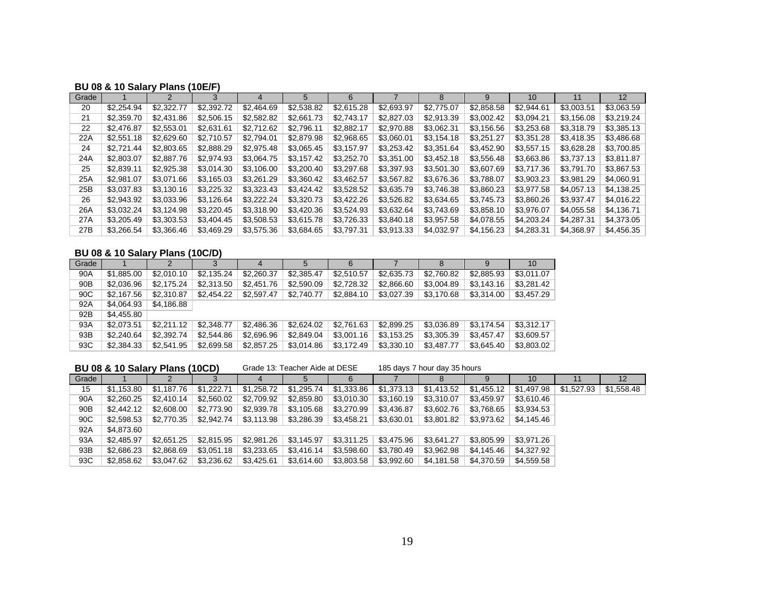# **BU 08 & 10 Salary Plans (10E/F)**

| Grade |            |            | 3          | 4          | 5          | 6          |            | 8          | 9          | 10         | 11         | 12 <sup>1</sup> |
|-------|------------|------------|------------|------------|------------|------------|------------|------------|------------|------------|------------|-----------------|
| 20    | \$2,254.94 | \$2,322.77 | \$2,392.72 | \$2,464.69 | \$2,538.82 | \$2,615.28 | \$2,693.97 | \$2,775.07 | \$2,858.58 | \$2,944.61 | \$3,003.51 | \$3,063.59      |
| 21    | \$2,359.70 | \$2,431.86 | \$2,506.15 | \$2,582.82 | \$2,661.73 | \$2.743.17 | \$2,827.03 | \$2,913.39 | \$3,002.42 | \$3.094.21 | \$3.156.08 | \$3.219.24      |
| 22    | \$2,476.87 | \$2,553.01 | \$2,631.61 | \$2,712.62 | \$2,796.11 | \$2,882.17 | \$2,970.88 | \$3,062.31 | \$3,156.56 | \$3,253.68 | \$3,318.79 | \$3,385.13      |
| 22A   | \$2,551.18 | \$2,629.60 | \$2,710.57 | \$2.794.01 | \$2,879.98 | \$2,968.65 | \$3,060.01 | \$3,154.18 | \$3,251.27 | \$3,351.28 | \$3,418.35 | \$3,486.68      |
| 24    | \$2.721.44 | \$2,803.65 | \$2,888.29 | \$2,975.48 | \$3,065.45 | \$3.157.97 | \$3,253.42 | \$3.351.64 | \$3.452.90 | \$3,557.15 | \$3.628.28 | \$3,700.85      |
| 24A   | \$2,803.07 | \$2,887.76 | \$2,974.93 | \$3.064.75 | \$3.157.42 | \$3,252,70 | \$3,351,00 | \$3,452.18 | \$3.556.48 | \$3,663.86 | \$3,737.13 | \$3,811.87      |
| 25    | \$2,839.11 | \$2,925.38 | \$3,014.30 | \$3,106.00 | \$3,200.40 | \$3,297.68 | \$3,397.93 | \$3,501.30 | \$3,607.69 | \$3.717.36 | \$3,791.70 | \$3,867.53      |
| 25A   | \$2,981.07 | \$3.071.66 | \$3,165.03 | \$3,261.29 | \$3,360.42 | \$3,462.57 | \$3,567.82 | \$3,676,36 | \$3,788.07 | \$3,903.23 | \$3.981.29 | \$4,060.91      |
| 25B   | \$3,037.83 | \$3,130,16 | \$3.225.32 | \$3.323.43 | \$3,424.42 | \$3,528.52 | \$3,635.79 | \$3.746.38 | \$3,860.23 | \$3.977.58 | \$4,057.13 | \$4.138.25      |
| 26    | \$2,943.92 | \$3,033.96 | \$3,126.64 | \$3,222.24 | \$3,320.73 | \$3,422.26 | \$3,526.82 | \$3,634.65 | \$3,745.73 | \$3,860.26 | \$3,937.47 | \$4,016.22      |
| 26A   | \$3.032.24 | \$3.124.98 | \$3,220.45 | \$3,318,90 | \$3,420.36 | \$3.524.93 | \$3.632.64 | \$3.743.69 | \$3,858.10 | \$3.976.07 | \$4,055.58 | \$4.136.71      |
| 27A   | \$3.205.49 | \$3,303.53 | \$3,404.45 | \$3,508.53 | \$3.615.78 | \$3.726.33 | \$3,840.18 | \$3,957.58 | \$4.078.55 | \$4,203,24 | \$4,287.31 | \$4,373.05      |
| 27B   | \$3,266.54 | \$3,366.46 | \$3.469.29 | \$3,575.36 | \$3,684.65 | \$3.797.31 | \$3,913.33 | \$4,032.97 | \$4,156.23 | \$4,283.31 | \$4,368.97 | \$4,456.35      |

# **BU 08 & 10 Salary Plans (10C/D)**

| Grade           |            |            |            | 4          | 5          | 6          |            |            | 9          | 10         |
|-----------------|------------|------------|------------|------------|------------|------------|------------|------------|------------|------------|
| 90A             | \$1,885,00 | \$2,010.10 | \$2.135.24 | \$2,260.37 | \$2,385.47 | \$2,510.57 | \$2,635.73 | \$2,760.82 | \$2,885.93 | \$3.011.07 |
| 90 <sub>B</sub> | \$2,036.96 | \$2,175.24 | \$2,313.50 | \$2,451.76 | \$2,590.09 | \$2,728.32 | \$2,866.60 | \$3,004.89 | \$3,143.16 | \$3,281.42 |
| 90C             | \$2,167.56 | \$2,310.87 | \$2.454.22 | \$2,597.47 | \$2,740.77 | \$2,884.10 | \$3,027.39 | \$3,170.68 | \$3,314.00 | \$3,457.29 |
| 92A             | \$4,064.93 | \$4.186.88 |            |            |            |            |            |            |            |            |
| 92B             | \$4,455.80 |            |            |            |            |            |            |            |            |            |
| 93A             | \$2,073.51 | \$2,211.12 | \$2,348.77 | \$2,486.36 | \$2,624.02 | \$2,761.63 | \$2,899.25 | \$3,036.89 | \$3.174.54 | \$3.312.17 |
| 93B             | \$2,240.64 | \$2,392.74 | \$2,544.86 | \$2,696.96 | \$2,849.04 | \$3,001.16 | \$3,153.25 | \$3,305.39 | \$3,457.47 | \$3,609.57 |
| 93C             | \$2,384.33 | \$2,541.95 | \$2,699.58 | \$2,857.25 | \$3,014.86 | \$3,172.49 | \$3,330.10 | \$3,487.77 | \$3,645.40 | \$3,803.02 |

|       | <b>BU 08 &amp; 10 Salary Plans (10CD)</b> |            |            |            | Grade 13: Teacher Aide at DESE |            | 185 days 7 hour day 35 hours |            |            |            |            |            |
|-------|-------------------------------------------|------------|------------|------------|--------------------------------|------------|------------------------------|------------|------------|------------|------------|------------|
| Grade |                                           |            |            |            |                                | 6          |                              |            |            | 10         |            | 12         |
| 15    | \$1.153.80                                | \$1.187.76 | \$1.222.71 | \$1.258.72 | \$1.295.74                     | \$1.333.86 | \$1.373.13                   | \$1.413.52 | \$1.455.12 | \$1.497.98 | \$1,527.93 | \$1.558.48 |
| 90A   | \$2,260.25                                | \$2.410.14 | \$2,560.02 | \$2,709.92 | \$2,859.80                     | \$3,010.30 | \$3.160.19                   | \$3,310.07 | \$3,459.97 | \$3,610.46 |            |            |
| 90B   | \$2.442.12                                | \$2,608.00 | \$2,773.90 | \$2,939.78 | \$3,105.68                     | \$3,270.99 | \$3,436.87                   | \$3,602.76 | \$3,768.65 | \$3,934.53 |            |            |
| 90C   | \$2,598.53                                | \$2,770.35 | \$2.942.74 | \$3,113.98 | \$3,286.39                     | \$3.458.21 | \$3.630.01                   | \$3.801.82 | \$3,973.62 | \$4,145.46 |            |            |
| 92A   | \$4.873.60                                |            |            |            |                                |            |                              |            |            |            |            |            |
| 93A   | \$2,485.97                                | \$2,651.25 | \$2.815.95 | \$2,981.26 | \$3,145.97                     | \$3,311.25 | \$3.475.96                   | \$3.641.27 | \$3,805.99 | \$3.971.26 |            |            |
| 93B   | \$2,686.23                                | \$2,868.69 | \$3,051.18 | \$3,233.65 | \$3,416.14                     | \$3,598.60 | \$3.780.49                   | \$3.962.98 | \$4.145.46 | \$4.327.92 |            |            |
| 93C   | \$2,858.62                                | \$3,047.62 | \$3,236.62 | \$3,425.61 | \$3,614.60                     | \$3,803.58 | \$3,992.60                   | \$4,181.58 | \$4,370.59 | \$4,559.58 |            |            |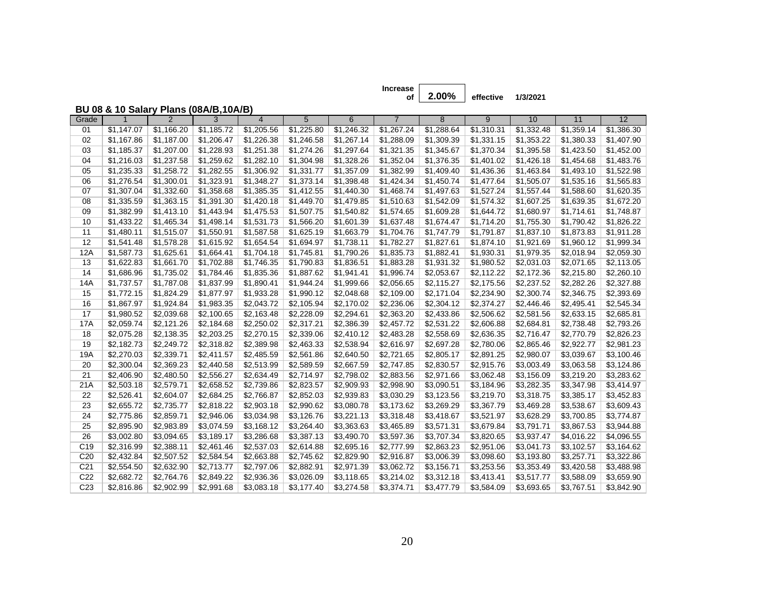**Increase**

**of effective 1/3/2021 2.00%**

# **BU 08 & 10 Salary Plans (08A/B,10A/B)**

| Grade           | 1          | $\overline{2}$ | 3          | 4          | 5          | 6          | $\overline{7}$ | 8          | 9          | 10         | 11         | 12         |
|-----------------|------------|----------------|------------|------------|------------|------------|----------------|------------|------------|------------|------------|------------|
| 01              | \$1,147.07 | \$1,166.20     | \$1,185.72 | \$1,205.56 | \$1,225.80 | \$1,246.32 | \$1,267.24     | \$1,288.64 | \$1,310.31 | \$1,332.48 | \$1,359.14 | \$1,386.30 |
| 02              | \$1,167.86 | \$1,187.00     | \$1,206.47 | \$1,226.38 | \$1,246.58 | \$1,267.14 | \$1,288.09     | \$1,309.39 | \$1,331.15 | \$1,353.22 | \$1,380.33 | \$1,407.90 |
| 03              | \$1,185.37 | \$1,207.00     | \$1,228.93 | \$1,251.38 | \$1,274.26 | \$1,297.64 | \$1,321.35     | \$1,345.67 | \$1,370.34 | \$1,395.58 | \$1,423.50 | \$1,452.00 |
| 04              | \$1,216.03 | \$1,237.58     | \$1,259.62 | \$1,282.10 | \$1,304.98 | \$1,328.26 | \$1,352.04     | \$1,376.35 | \$1,401.02 | \$1,426.18 | \$1,454.68 | \$1,483.76 |
| 05              | \$1,235.33 | \$1,258.72     | \$1,282.55 | \$1,306.92 | \$1,331.77 | \$1,357.09 | \$1,382.99     | \$1,409.40 | \$1,436.36 | \$1,463.84 | \$1,493.10 | \$1,522.98 |
| 06              | \$1,276.54 | \$1,300.01     | \$1,323.91 | \$1,348.27 | \$1,373.14 | \$1,398.48 | \$1,424.34     | \$1,450.74 | \$1,477.64 | \$1,505.07 | \$1,535.16 | \$1,565.83 |
| 07              | \$1,307.04 | \$1,332.60     | \$1,358.68 | \$1,385.35 | \$1,412.55 | \$1,440.30 | \$1,468.74     | \$1,497.63 | \$1,527.24 | \$1,557.44 | \$1,588.60 | \$1,620.35 |
| 08              | \$1,335.59 | \$1,363.15     | \$1,391.30 | \$1,420.18 | \$1,449.70 | \$1,479.85 | \$1,510.63     | \$1,542.09 | \$1,574.32 | \$1,607.25 | \$1,639.35 | \$1,672.20 |
| 09              | \$1,382.99 | \$1,413.10     | \$1,443.94 | \$1,475.53 | \$1,507.75 | \$1,540.82 | \$1,574.65     | \$1,609.28 | \$1,644.72 | \$1,680.97 | \$1,714.61 | \$1,748.87 |
| 10              | \$1,433.22 | \$1,465.34     | \$1,498.14 | \$1,531.73 | \$1,566.20 | \$1,601.39 | \$1,637.48     | \$1,674.47 | \$1,714.20 | \$1,755.30 | \$1,790.42 | \$1,826.22 |
| 11              | \$1,480.11 | \$1,515.07     | \$1,550.91 | \$1,587.58 | \$1,625.19 | \$1,663.79 | \$1,704.76     | \$1,747.79 | \$1,791.87 | \$1,837.10 | \$1,873.83 | \$1,911.28 |
| 12              | \$1,541.48 | \$1,578.28     | \$1,615.92 | \$1,654.54 | \$1,694.97 | \$1,738.11 | \$1,782.27     | \$1,827.61 | \$1,874.10 | \$1,921.69 | \$1,960.12 | \$1,999.34 |
| 12A             | \$1,587.73 | \$1,625.61     | \$1,664.41 | \$1,704.18 | \$1,745.81 | \$1,790.26 | \$1,835.73     | \$1,882.41 | \$1,930.31 | \$1,979.35 | \$2,018.94 | \$2,059.30 |
| 13              | \$1,622.83 | \$1,661.70     | \$1,702.88 | \$1,746.35 | \$1,790.83 | \$1,836.51 | \$1,883.28     | \$1,931.32 | \$1,980.52 | \$2,031.03 | \$2,071.65 | \$2,113.05 |
| 14              | \$1,686.96 | \$1,735.02     | \$1,784.46 | \$1,835.36 | \$1,887.62 | \$1,941.41 | \$1,996.74     | \$2,053.67 | \$2,112.22 | \$2,172.36 | \$2,215.80 | \$2,260.10 |
| 14A             | \$1,737.57 | \$1,787.08     | \$1,837.99 | \$1,890.41 | \$1,944.24 | \$1,999.66 | \$2,056.65     | \$2,115.27 | \$2,175.56 | \$2,237.52 | \$2,282.26 | \$2,327.88 |
| 15              | \$1,772.15 | \$1,824.29     | \$1,877.97 | \$1,933.28 | \$1,990.12 | \$2,048.68 | \$2,109.00     | \$2,171.04 | \$2,234.90 | \$2,300.74 | \$2,346.75 | \$2,393.69 |
| 16              | \$1,867.97 | \$1,924.84     | \$1,983.35 | \$2,043.72 | \$2,105.94 | \$2,170.02 | \$2,236.06     | \$2,304.12 | \$2,374.27 | \$2,446.46 | \$2,495.41 | \$2,545.34 |
| 17              | \$1,980.52 | \$2,039.68     | \$2,100.65 | \$2,163.48 | \$2,228.09 | \$2,294.61 | \$2,363.20     | \$2,433.86 | \$2,506.62 | \$2,581.56 | \$2,633.15 | \$2,685.81 |
| 17A             | \$2,059.74 | \$2,121.26     | \$2,184.68 | \$2,250.02 | \$2,317.21 | \$2,386.39 | \$2,457.72     | \$2,531.22 | \$2,606.88 | \$2,684.81 | \$2,738.48 | \$2,793.26 |
| 18              | \$2,075.28 | \$2,138.35     | \$2,203.25 | \$2,270.15 | \$2,339.06 | \$2,410.12 | \$2,483.28     | \$2,558.69 | \$2,636.35 | \$2,716.47 | \$2,770.79 | \$2,826.23 |
| 19              | \$2,182.73 | \$2,249.72     | \$2,318.82 | \$2,389.98 | \$2,463.33 | \$2,538.94 | \$2,616.97     | \$2,697.28 | \$2,780.06 | \$2,865.46 | \$2,922.77 | \$2,981.23 |
| 19A             | \$2,270.03 | \$2,339.71     | \$2,411.57 | \$2,485.59 | \$2,561.86 | \$2,640.50 | \$2,721.65     | \$2,805.17 | \$2,891.25 | \$2,980.07 | \$3,039.67 | \$3,100.46 |
| 20              | \$2,300.04 | \$2,369.23     | \$2,440.58 | \$2,513.99 | \$2,589.59 | \$2,667.59 | \$2,747.85     | \$2,830.57 | \$2,915.76 | \$3,003.49 | \$3,063.58 | \$3,124.86 |
| 21              | \$2,406.90 | \$2,480.50     | \$2,556.27 | \$2,634.49 | \$2,714.97 | \$2,798.02 | \$2,883.56     | \$2,971.66 | \$3,062.48 | \$3,156.09 | \$3,219.20 | \$3,283.62 |
| 21A             | \$2,503.18 | \$2,579.71     | \$2,658.52 | \$2,739.86 | \$2,823.57 | \$2,909.93 | \$2,998.90     | \$3,090.51 | \$3,184.96 | \$3,282.35 | \$3,347.98 | \$3,414.97 |
| 22              | \$2,526.41 | \$2,604.07     | \$2,684.25 | \$2,766.87 | \$2,852.03 | \$2,939.83 | \$3,030.29     | \$3,123.56 | \$3,219.70 | \$3,318.75 | \$3,385.17 | \$3,452.83 |
| 23              | \$2,655.72 | \$2,735.77     | \$2,818.22 | \$2,903.18 | \$2,990.62 | \$3,080.78 | \$3,173.62     | \$3,269.29 | \$3,367.79 | \$3,469.28 | \$3,538.67 | \$3,609.43 |
| 24              | \$2,775.86 | \$2,859.71     | \$2,946.06 | \$3,034.98 | \$3,126.76 | \$3,221.13 | \$3,318.48     | \$3,418.67 | \$3,521.97 | \$3,628.29 | \$3,700.85 | \$3,774.87 |
| 25              | \$2,895.90 | \$2,983.89     | \$3,074.59 | \$3,168.12 | \$3,264.40 | \$3,363.63 | \$3,465.89     | \$3,571.31 | \$3,679.84 | \$3,791.71 | \$3,867.53 | \$3,944.88 |
| 26              | \$3,002.80 | \$3,094.65     | \$3,189.17 | \$3,286.68 | \$3,387.13 | \$3,490.70 | \$3,597.36     | \$3,707.34 | \$3,820.65 | \$3,937.47 | \$4,016.22 | \$4,096.55 |
| C <sub>19</sub> | \$2,316.99 | \$2,388.11     | \$2,461.46 | \$2,537.03 | \$2,614.88 | \$2,695.16 | \$2,777.99     | \$2,863.23 | \$2,951.06 | \$3,041.73 | \$3,102.57 | \$3,164.62 |
| C <sub>20</sub> | \$2,432.84 | \$2,507.52     | \$2,584.54 | \$2,663.88 | \$2,745.62 | \$2,829.90 | \$2,916.87     | \$3,006.39 | \$3,098.60 | \$3,193.80 | \$3,257.71 | \$3,322.86 |
| C <sub>21</sub> | \$2,554.50 | \$2,632.90     | \$2,713.77 | \$2,797.06 | \$2,882.91 | \$2,971.39 | \$3,062.72     | \$3,156.71 | \$3,253.56 | \$3,353.49 | \$3,420.58 | \$3,488.98 |
| C <sub>22</sub> | \$2,682.72 | \$2,764.76     | \$2,849.22 | \$2,936.36 | \$3,026.09 | \$3,118.65 | \$3,214.02     | \$3,312.18 | \$3,413.41 | \$3,517.77 | \$3,588.09 | \$3,659.90 |
| C <sub>23</sub> | \$2.816.86 | \$2,902.99     | \$2.991.68 | \$3.083.18 | \$3.177.40 | \$3.274.58 | \$3.374.71     | \$3,477.79 | \$3.584.09 | \$3.693.65 | \$3.767.51 | \$3.842.90 |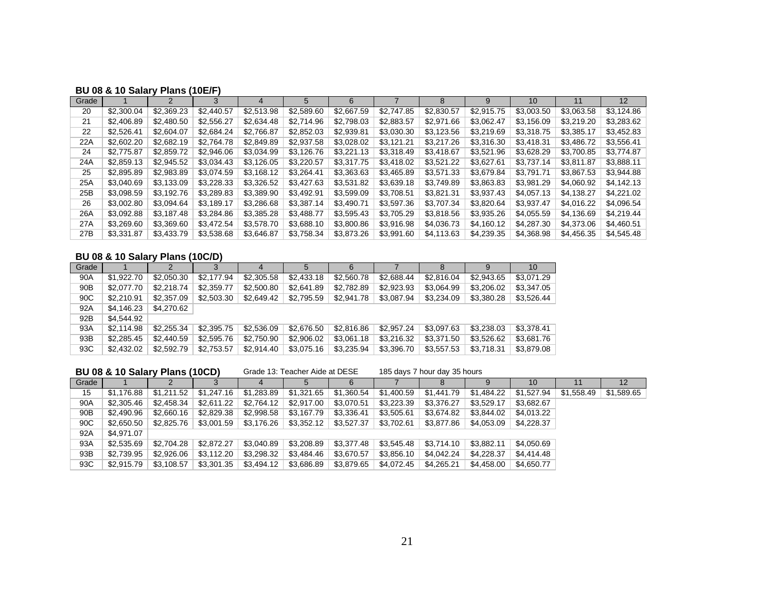# **BU 08 & 10 Salary Plans (10E/F)**

| Grade |            |            |            | 4          | 5          | 6          |            | 8          | 9          | 10         | 11         | $12 \overline{ }$ |
|-------|------------|------------|------------|------------|------------|------------|------------|------------|------------|------------|------------|-------------------|
| 20    | \$2,300.04 | \$2,369.23 | \$2,440.57 | \$2.513.98 | \$2,589.60 | \$2,667.59 | \$2,747.85 | \$2,830.57 | \$2,915.75 | \$3,003.50 | \$3,063.58 | \$3,124.86        |
| 21    | \$2,406.89 | \$2,480.50 | \$2,556.27 | \$2,634.48 | \$2,714.96 | \$2,798.03 | \$2,883.57 | \$2,971.66 | \$3,062.47 | \$3,156.09 | \$3,219.20 | \$3,283.62        |
| 22    | \$2.526.41 | \$2,604.07 | \$2,684.24 | \$2,766.87 | \$2,852.03 | \$2,939.81 | \$3,030.30 | \$3,123.56 | \$3,219.69 | \$3,318.75 | \$3,385.17 | \$3,452.83        |
| 22A   | \$2,602.20 | \$2,682.19 | \$2,764.78 | \$2,849.89 | \$2,937.58 | \$3,028.02 | \$3,121.21 | \$3,217.26 | \$3,316.30 | \$3.418.31 | \$3.486.72 | \$3,556.41        |
| 24    | \$2,775.87 | \$2,859.72 | \$2,946.06 | \$3,034.99 | \$3,126.76 | \$3,221.13 | \$3,318,49 | \$3,418,67 | \$3,521.96 | \$3,628.29 | \$3,700.85 | \$3,774.87        |
| 24A   | \$2,859.13 | \$2,945.52 | \$3.034.43 | \$3,126.05 | \$3,220.57 | \$3,317.75 | \$3,418,02 | \$3.521.22 | \$3,627.61 | \$3.737.14 | \$3.811.87 | \$3,888.11        |
| 25    | \$2,895.89 | \$2,983.89 | \$3.074.59 | \$3,168.12 | \$3,264.41 | \$3,363.63 | \$3,465.89 | \$3,571.33 | \$3,679.84 | \$3,791.71 | \$3,867.53 | \$3,944.88        |
| 25A   | \$3,040.69 | \$3.133.09 | \$3.228.33 | \$3,326.52 | \$3.427.63 | \$3.531.82 | \$3,639.18 | \$3.749.89 | \$3,863.83 | \$3.981.29 | \$4,060.92 | \$4.142.13        |
| 25B   | \$3,098.59 | \$3,192.76 | \$3,289.83 | \$3,389.90 | \$3,492.91 | \$3,599.09 | \$3,708.51 | \$3,821.31 | \$3,937.43 | \$4,057.13 | \$4,138.27 | \$4,221.02        |
| 26    | \$3,002.80 | \$3.094.64 | \$3.189.17 | \$3,286.68 | \$3.387.14 | \$3.490.71 | \$3.597.36 | \$3,707.34 | \$3,820.64 | \$3,937.47 | \$4,016.22 | \$4.096.54        |
| 26A   | \$3,092.88 | \$3,187.48 | \$3,284.86 | \$3,385.28 | \$3,488.77 | \$3,595.43 | \$3,705.29 | \$3,818.56 | \$3,935.26 | \$4,055.59 | \$4,136.69 | \$4,219.44        |
| 27A   | \$3,269.60 | \$3.369.60 | \$3.472.54 | \$3,578.70 | \$3,688.10 | \$3,800.86 | \$3.916.98 | \$4,036.73 | \$4.160.12 | \$4,287.30 | \$4,373.06 | \$4.460.51        |
| 27B   | \$3,331.87 | \$3,433.79 | \$3,538.68 | \$3,646.87 | \$3,758.34 | \$3,873.26 | \$3,991.60 | \$4,113.63 | \$4,239.35 | \$4,368.98 | \$4,456.35 | \$4,545.48        |

#### **BU 08 & 10 Salary Plans (10C/D)**

| Grade           |            | $\mathcal{P}$ | 3          | 4          | 5          | 6          |            | 8          | 9          | 10         |
|-----------------|------------|---------------|------------|------------|------------|------------|------------|------------|------------|------------|
| 90A             | \$1.922.70 | \$2,050.30    | \$2.177.94 | \$2,305.58 | \$2,433.18 | \$2,560.78 | \$2,688,44 | \$2,816,04 | \$2,943.65 | \$3,071.29 |
| 90 <sub>B</sub> | \$2,077.70 | \$2,218,74    | \$2,359.77 | \$2,500.80 | \$2,641.89 | \$2,782.89 | \$2,923.93 | \$3.064.99 | \$3,206.02 | \$3,347.05 |
| 90C             | \$2.210.91 | \$2,357.09    | \$2,503.30 | \$2,649.42 | \$2,795.59 | \$2,941.78 | \$3,087.94 | \$3,234.09 | \$3,380.28 | \$3,526.44 |
| 92A             | \$4,146.23 | \$4.270.62    |            |            |            |            |            |            |            |            |
| 92B             | \$4,544.92 |               |            |            |            |            |            |            |            |            |
| 93A             | \$2.114.98 | \$2,255.34    | \$2,395.75 | \$2,536.09 | \$2,676.50 | \$2,816.86 | \$2.957.24 | \$3.097.63 | \$3,238,03 | \$3.378.41 |
| 93B             | \$2,285.45 | \$2,440.59    | \$2,595.76 | \$2,750.90 | \$2,906.02 | \$3,061.18 | \$3.216.32 | \$3,371.50 | \$3.526.62 | \$3,681.76 |
| 93C             | \$2,432.02 | \$2,592.79    | \$2,753.57 | \$2,914.40 | \$3,075.16 | \$3,235.94 | \$3,396.70 | \$3,557.53 | \$3,718.31 | \$3,879.08 |

**BU 08 & 10 Salary Plans (10CD)** Grade 13: Teacher Aide at DESE 185 days 7 hour day 35 hours

| Grade |            |            |            |            |            | 6          |            |            |            | 10         |            | 12         |
|-------|------------|------------|------------|------------|------------|------------|------------|------------|------------|------------|------------|------------|
| 15    | \$1.176.88 | \$1.211.52 | \$1.247.16 | \$1,283.89 | \$1,321.65 | \$1,360.54 | \$1.400.59 | \$1.441.79 | \$1.484.22 | \$1.527.94 | \$1.558.49 | \$1.589.65 |
| 90A   | \$2,305.46 | \$2,458.34 | \$2,611.22 | \$2,764.12 | \$2.917.00 | \$3,070.51 | \$3,223.39 | \$3,376.27 | \$3.529.17 | \$3.682.67 |            |            |
| 90B   | \$2,490.96 | \$2.660.16 | \$2,829.38 | \$2,998.58 | \$3,167.79 | \$3,336.41 | \$3,505.61 | \$3.674.82 | \$3.844.02 | \$4,013.22 |            |            |
| 90C   | \$2,650.50 | \$2.825.76 | \$3.001.59 | \$3,176.26 | \$3,352.12 | \$3,527.37 | \$3.702.61 | \$3,877.86 | \$4.053.09 | \$4.228.37 |            |            |
| 92A   | \$4.971.07 |            |            |            |            |            |            |            |            |            |            |            |
| 93A   | \$2.535.69 | \$2.704.28 | \$2,872,27 | \$3.040.89 | \$3.208.89 | \$3.377.48 | \$3.545.48 | \$3.714.10 | \$3.882.11 | \$4.050.69 |            |            |
| 93B   | \$2.739.95 | \$2.926.06 | \$3.112.20 | \$3,298.32 | \$3.484.46 | \$3.670.57 | \$3.856.10 | \$4.042.24 | \$4.228.37 | \$4,414,48 |            |            |
| 93C   | \$2,915.79 | \$3,108.57 | \$3,301.35 | \$3,494.12 | \$3,686.89 | \$3,879.65 | \$4.072.45 | \$4.265.21 | \$4.458.00 | \$4,650.77 |            |            |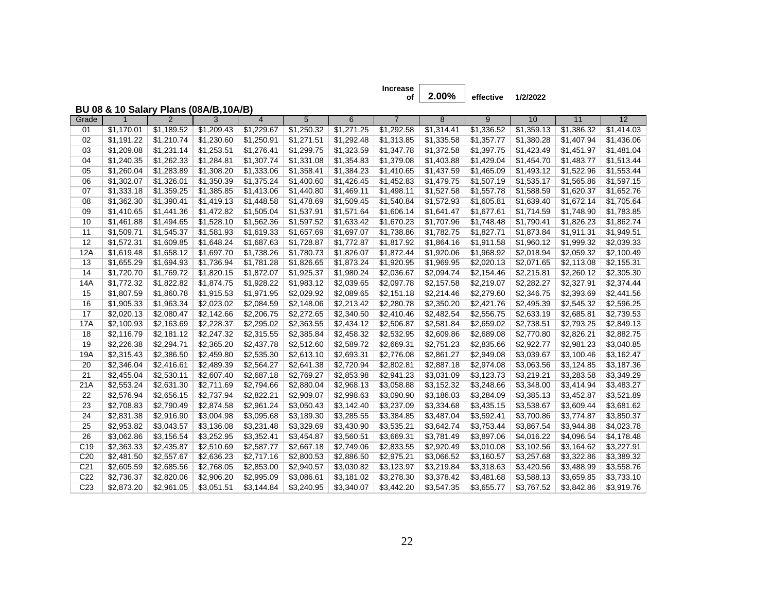**Increase**

**of effective 1/2/2022 2.00%**

# **BU 08 & 10 Salary Plans (08A/B,10A/B)**

| Grade           | 1                      | 2          | 3          | 4          | 5          | 6          | $\overline{7}$ | 8          | 9          | 10         | 11         | 12         |
|-----------------|------------------------|------------|------------|------------|------------|------------|----------------|------------|------------|------------|------------|------------|
| 01              | \$1,170.01             | \$1,189.52 | \$1,209.43 | \$1,229.67 | \$1,250.32 | \$1,271.25 | \$1,292.58     | \$1,314.41 | \$1,336.52 | \$1,359.13 | \$1,386.32 | \$1,414.03 |
| 02              | \$1,191.22             | \$1,210.74 | \$1,230.60 | \$1,250.91 | \$1,271.51 | \$1,292.48 | \$1,313.85     | \$1,335.58 | \$1,357.77 | \$1,380.28 | \$1,407.94 | \$1,436.06 |
| 03              | \$1,209.08             | \$1,231.14 | \$1,253.51 | \$1,276.41 | \$1,299.75 | \$1,323.59 | \$1,347.78     | \$1,372.58 | \$1,397.75 | \$1,423.49 | \$1,451.97 | \$1,481.04 |
| 04              | \$1,240.35             | \$1,262.33 | \$1,284.81 | \$1,307.74 | \$1,331.08 | \$1,354.83 | \$1,379.08     | \$1,403.88 | \$1,429.04 | \$1,454.70 | \$1,483.77 | \$1,513.44 |
| 05              | \$1,260.04             | \$1,283.89 | \$1,308.20 | \$1,333.06 | \$1,358.41 | \$1,384.23 | \$1,410.65     | \$1,437.59 | \$1,465.09 | \$1,493.12 | \$1,522.96 | \$1,553.44 |
| 06              | \$1,302.07             | \$1,326.01 | \$1,350.39 | \$1,375.24 | \$1,400.60 | \$1,426.45 | \$1,452.83     | \$1,479.75 | \$1,507.19 | \$1,535.17 | \$1,565.86 | \$1,597.15 |
| 07              | \$1,333.18             | \$1,359.25 | \$1,385.85 | \$1,413.06 | \$1,440.80 | \$1,469.11 | \$1,498.11     | \$1,527.58 | \$1,557.78 | \$1,588.59 | \$1,620.37 | \$1,652.76 |
| 08              | \$1,362.30             | \$1,390.41 | \$1,419.13 | \$1,448.58 | \$1,478.69 | \$1,509.45 | \$1,540.84     | \$1,572.93 | \$1,605.81 | \$1,639.40 | \$1,672.14 | \$1,705.64 |
| 09              | \$1,410.65             | \$1,441.36 | \$1,472.82 | \$1,505.04 | \$1,537.91 | \$1,571.64 | \$1,606.14     | \$1,641.47 | \$1,677.61 | \$1,714.59 | \$1,748.90 | \$1,783.85 |
| 10              | \$1,461.88             | \$1,494.65 | \$1,528.10 | \$1,562.36 | \$1,597.52 | \$1,633.42 | \$1,670.23     | \$1,707.96 | \$1,748.48 | \$1,790.41 | \$1,826.23 | \$1,862.74 |
| 11              | \$1,509.71             | \$1,545.37 | \$1,581.93 | \$1,619.33 | \$1,657.69 | \$1,697.07 | \$1,738.86     | \$1,782.75 | \$1,827.71 | \$1,873.84 | \$1,911.31 | \$1,949.51 |
| 12              | \$1,572.31             | \$1,609.85 | \$1,648.24 | \$1,687.63 | \$1,728.87 | \$1,772.87 | \$1,817.92     | \$1,864.16 | \$1,911.58 | \$1,960.12 | \$1,999.32 | \$2,039.33 |
| 12A             | \$1,619.48             | \$1,658.12 | \$1,697.70 | \$1,738.26 | \$1,780.73 | \$1,826.07 | \$1,872.44     | \$1,920.06 | \$1,968.92 | \$2,018.94 | \$2,059.32 | \$2,100.49 |
| 13              | \$1,655.29             | \$1,694.93 | \$1,736.94 | \$1,781.28 | \$1,826.65 | \$1,873.24 | \$1,920.95     | \$1,969.95 | \$2,020.13 | \$2,071.65 | \$2,113.08 | \$2,155.31 |
| 14              | \$1,720.70             | \$1,769.72 | \$1,820.15 | \$1,872.07 | \$1,925.37 | \$1,980.24 | \$2,036.67     | \$2,094.74 | \$2,154.46 | \$2,215.81 | \$2,260.12 | \$2,305.30 |
| 14A             | \$1,772.32             | \$1,822.82 | \$1,874.75 | \$1,928.22 | \$1,983.12 | \$2,039.65 | \$2,097.78     | \$2,157.58 | \$2,219.07 | \$2,282.27 | \$2,327.91 | \$2,374.44 |
| 15              | \$1,807.59             | \$1,860.78 | \$1,915.53 | \$1,971.95 | \$2,029.92 | \$2,089.65 | \$2,151.18     | \$2,214.46 | \$2,279.60 | \$2,346.75 | \$2,393.69 | \$2,441.56 |
| 16              | \$1,905.33             | \$1,963.34 | \$2,023.02 | \$2,084.59 | \$2,148.06 | \$2,213.42 | \$2,280.78     | \$2,350.20 | \$2,421.76 | \$2,495.39 | \$2,545.32 | \$2,596.25 |
| 17              | \$2,020.13             | \$2,080.47 | \$2,142.66 | \$2,206.75 | \$2,272.65 | \$2,340.50 | \$2,410.46     | \$2,482.54 | \$2,556.75 | \$2,633.19 | \$2,685.81 | \$2,739.53 |
| 17A             | \$2,100.93             | \$2,163.69 | \$2,228.37 | \$2,295.02 | \$2,363.55 | \$2,434.12 | \$2,506.87     | \$2,581.84 | \$2,659.02 | \$2,738.51 | \$2,793.25 | \$2,849.13 |
| 18              | \$2,116.79             | \$2,181.12 | \$2,247.32 | \$2,315.55 | \$2,385.84 | \$2,458.32 | \$2,532.95     | \$2,609.86 | \$2,689.08 | \$2,770.80 | \$2,826.21 | \$2,882.75 |
| 19              | \$2,226.38             | \$2,294.71 | \$2,365.20 | \$2,437.78 | \$2,512.60 | \$2,589.72 | \$2,669.31     | \$2,751.23 | \$2,835.66 | \$2,922.77 | \$2,981.23 | \$3,040.85 |
| 19A             | \$2,315.43             | \$2,386.50 | \$2,459.80 | \$2,535.30 | \$2,613.10 | \$2,693.31 | \$2,776.08     | \$2,861.27 | \$2,949.08 | \$3,039.67 | \$3,100.46 | \$3,162.47 |
| 20              | \$2,346.04             | \$2,416.61 | \$2,489.39 | \$2,564.27 | \$2,641.38 | \$2,720.94 | \$2,802.81     | \$2,887.18 | \$2,974.08 | \$3,063.56 | \$3,124.85 | \$3,187.36 |
| 21              | \$2,455.04             | \$2,530.11 | \$2,607.40 | \$2,687.18 | \$2,769.27 | \$2,853.98 | \$2,941.23     | \$3,031.09 | \$3,123.73 | \$3,219.21 | \$3,283.58 | \$3,349.29 |
| 21A             | \$2,553.24             | \$2,631.30 | \$2,711.69 | \$2,794.66 | \$2,880.04 | \$2,968.13 | \$3,058.88     | \$3,152.32 | \$3,248.66 | \$3,348.00 | \$3,414.94 | \$3,483.27 |
| 22              | \$2,576.94             | \$2,656.15 | \$2,737.94 | \$2,822.21 | \$2,909.07 | \$2,998.63 | \$3,090.90     | \$3,186.03 | \$3,284.09 | \$3,385.13 | \$3,452.87 | \$3,521.89 |
| 23              | \$2,708.83             | \$2,790.49 | \$2,874.58 | \$2,961.24 | \$3,050.43 | \$3,142.40 | \$3,237.09     | \$3,334.68 | \$3,435.15 | \$3,538.67 | \$3,609.44 | \$3,681.62 |
| 24              | \$2,831.38             | \$2,916.90 | \$3,004.98 | \$3,095.68 | \$3,189.30 | \$3,285.55 | \$3,384.85     | \$3,487.04 | \$3,592.41 | \$3,700.86 | \$3,774.87 | \$3,850.37 |
| 25              | \$2,953.82             | \$3,043.57 | \$3,136.08 | \$3,231.48 | \$3,329.69 | \$3,430.90 | \$3,535.21     | \$3,642.74 | \$3,753.44 | \$3,867.54 | \$3,944.88 | \$4,023.78 |
| 26              | \$3,062.86             | \$3,156.54 | \$3,252.95 | \$3,352.41 | \$3,454.87 | \$3,560.51 | \$3,669.31     | \$3,781.49 | \$3,897.06 | \$4,016.22 | \$4,096.54 | \$4,178.48 |
| C <sub>19</sub> | $\overline{$2,363.33}$ | \$2,435.87 | \$2,510.69 | \$2,587.77 | \$2,667.18 | \$2,749.06 | \$2,833.55     | \$2,920.49 | \$3,010.08 | \$3,102.56 | \$3,164.62 | \$3,227.91 |
| C <sub>20</sub> | \$2,481.50             | \$2,557.67 | \$2,636.23 | \$2,717.16 | \$2,800.53 | \$2,886.50 | \$2,975.21     | \$3,066.52 | \$3,160.57 | \$3,257.68 | \$3,322.86 | \$3,389.32 |
| C <sub>21</sub> | \$2,605.59             | \$2,685.56 | \$2,768.05 | \$2,853.00 | \$2,940.57 | \$3,030.82 | \$3,123.97     | \$3,219.84 | \$3,318.63 | \$3,420.56 | \$3,488.99 | \$3,558.76 |
| C <sub>22</sub> | \$2,736.37             | \$2,820.06 | \$2,906.20 | \$2,995.09 | \$3,086.61 | \$3,181.02 | \$3,278.30     | \$3,378.42 | \$3,481.68 | \$3,588.13 | \$3,659.85 | \$3,733.10 |
| C <sub>23</sub> | \$2.873.20             | \$2,961.05 | \$3.051.51 | \$3.144.84 | \$3.240.95 | \$3.340.07 | \$3.442.20     | \$3.547.35 | \$3.655.77 | \$3.767.52 | \$3.842.86 | \$3.919.76 |